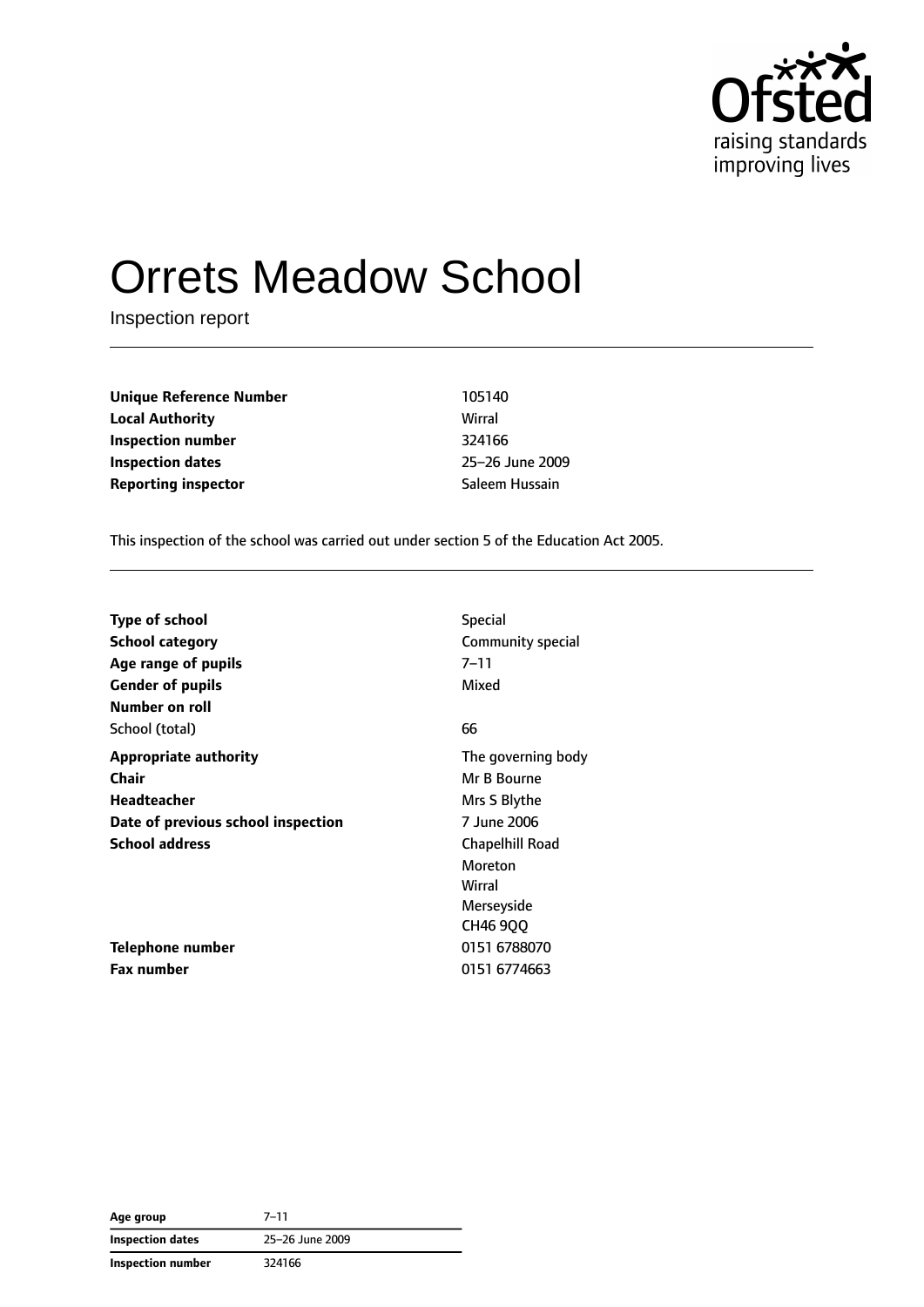

# Orrets Meadow School

Inspection report

**Unique Reference Number** 105140 **Local Authority** Wirral **Inspection number** 324166 **Inspection dates** 25–26 June 2009 **Reporting inspector Contracts** Saleem Hussain

This inspection of the school was carried out under section 5 of the Education Act 2005.

| <b>Type of school</b>              | <b>Special</b>     |
|------------------------------------|--------------------|
| School category                    | Community special  |
| Age range of pupils                | 7–11               |
| <b>Gender of pupils</b>            | Mixed              |
| Number on roll                     |                    |
| School (total)                     | 66                 |
| <b>Appropriate authority</b>       | The governing body |
| Chair                              | Mr B Bourne        |
| <b>Headteacher</b>                 | Mrs S Blythe       |
| Date of previous school inspection | 7 June 2006        |
| <b>School address</b>              | Chapelhill Road    |
|                                    | Moreton            |
|                                    | Wirral             |
|                                    | Merseyside         |
|                                    | CH46 900           |
| Telephone number                   | 0151 6788070       |
| <b>Fax number</b>                  | 0151 6774663       |

**Age group** 7–11 **Inspection dates** 25–26 June 2009 **Inspection number** 324166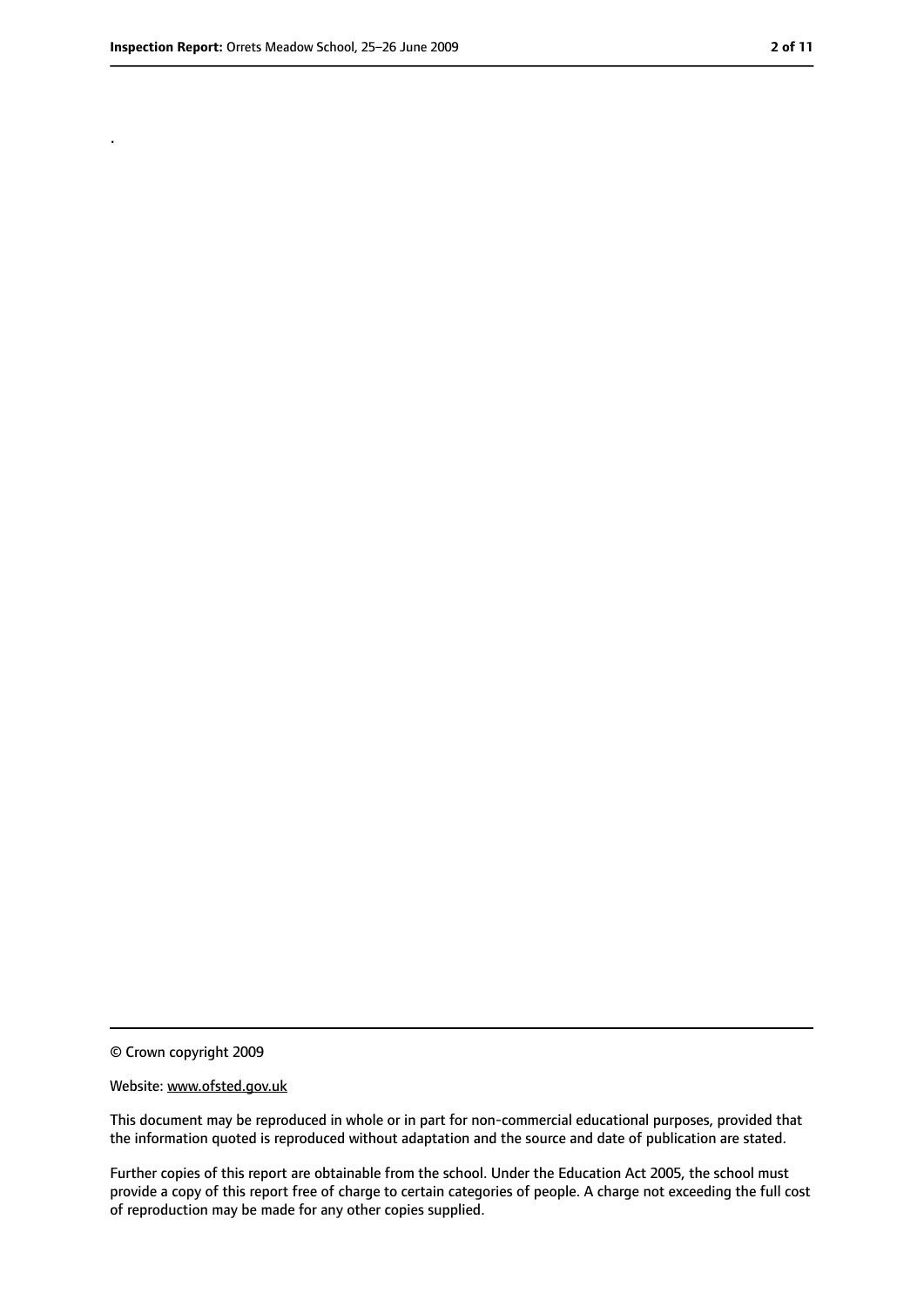.

<sup>©</sup> Crown copyright 2009

Website: www.ofsted.gov.uk

This document may be reproduced in whole or in part for non-commercial educational purposes, provided that the information quoted is reproduced without adaptation and the source and date of publication are stated.

Further copies of this report are obtainable from the school. Under the Education Act 2005, the school must provide a copy of this report free of charge to certain categories of people. A charge not exceeding the full cost of reproduction may be made for any other copies supplied.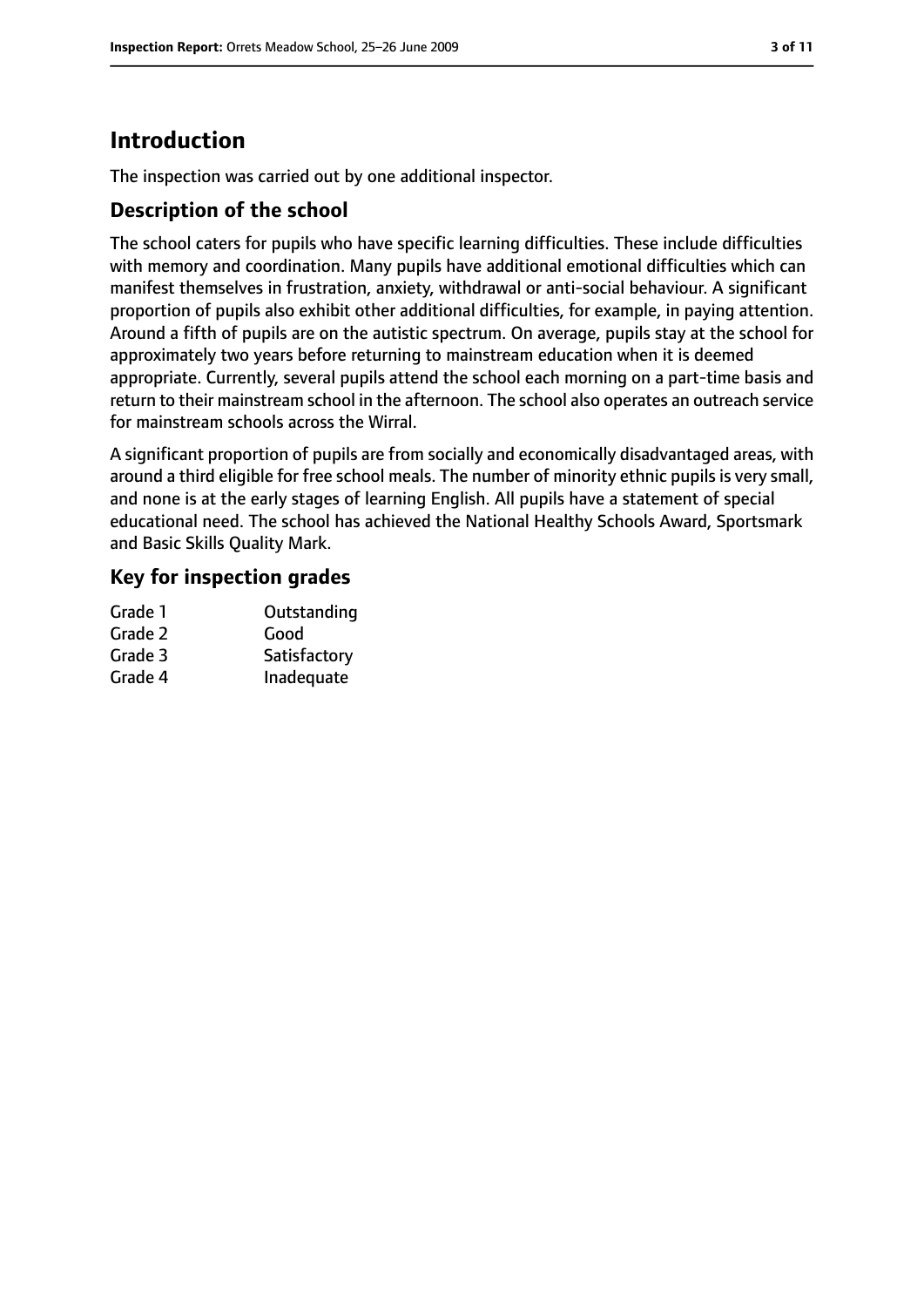# **Introduction**

The inspection was carried out by one additional inspector.

# **Description of the school**

The school caters for pupils who have specific learning difficulties. These include difficulties with memory and coordination. Many pupils have additional emotional difficulties which can manifest themselves in frustration, anxiety, withdrawal or anti-social behaviour. A significant proportion of pupils also exhibit other additional difficulties, for example, in paying attention. Around a fifth of pupils are on the autistic spectrum. On average, pupils stay at the school for approximately two years before returning to mainstream education when it is deemed appropriate. Currently, several pupils attend the school each morning on a part-time basis and return to their mainstream school in the afternoon. The school also operates an outreach service for mainstream schools across the Wirral.

A significant proportion of pupils are from socially and economically disadvantaged areas, with around a third eligible for free school meals. The number of minority ethnic pupils is very small, and none is at the early stages of learning English. All pupils have a statement of special educational need. The school has achieved the National Healthy Schools Award, Sportsmark and Basic Skills Quality Mark.

### **Key for inspection grades**

| Outstanding  |
|--------------|
| Good         |
| Satisfactory |
| Inadequate   |
|              |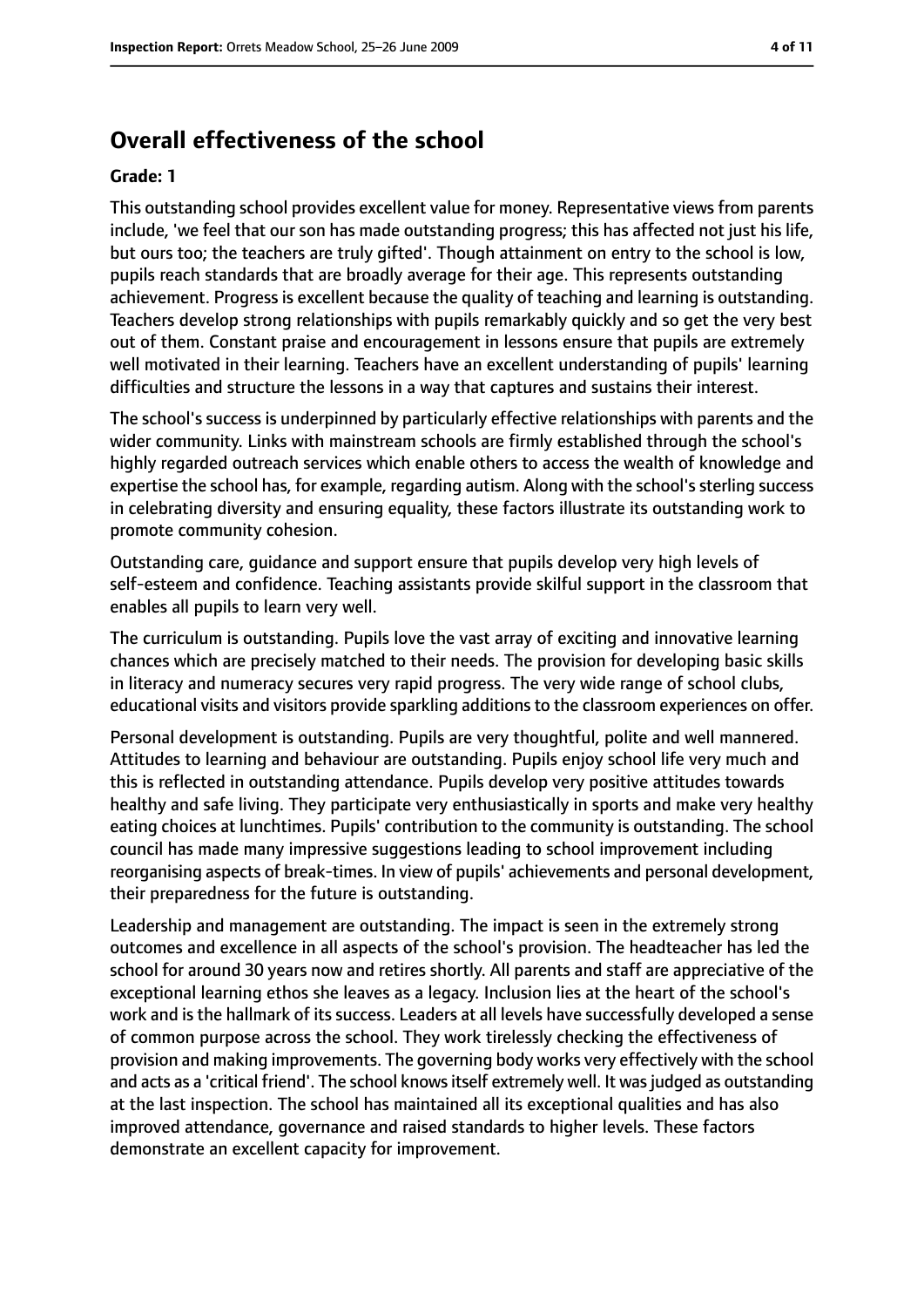# **Overall effectiveness of the school**

#### **Grade: 1**

This outstanding school provides excellent value for money. Representative views from parents include, 'we feel that our son has made outstanding progress; this has affected not just his life, but ours too; the teachers are truly gifted'. Though attainment on entry to the school is low, pupils reach standards that are broadly average for their age. This represents outstanding achievement. Progress is excellent because the quality of teaching and learning is outstanding. Teachers develop strong relationships with pupils remarkably quickly and so get the very best out of them. Constant praise and encouragement in lessons ensure that pupils are extremely well motivated in their learning. Teachers have an excellent understanding of pupils' learning difficulties and structure the lessons in a way that captures and sustains their interest.

The school's success is underpinned by particularly effective relationships with parents and the wider community. Links with mainstream schools are firmly established through the school's highly regarded outreach services which enable others to access the wealth of knowledge and expertise the school has, for example, regarding autism. Along with the school's sterling success in celebrating diversity and ensuring equality, these factors illustrate its outstanding work to promote community cohesion.

Outstanding care, guidance and support ensure that pupils develop very high levels of self-esteem and confidence. Teaching assistants provide skilful support in the classroom that enables all pupils to learn very well.

The curriculum is outstanding. Pupils love the vast array of exciting and innovative learning chances which are precisely matched to their needs. The provision for developing basic skills in literacy and numeracy secures very rapid progress. The very wide range of school clubs, educational visits and visitors provide sparkling additions to the classroom experiences on offer.

Personal development is outstanding. Pupils are very thoughtful, polite and well mannered. Attitudes to learning and behaviour are outstanding. Pupils enjoy school life very much and this is reflected in outstanding attendance. Pupils develop very positive attitudes towards healthy and safe living. They participate very enthusiastically in sports and make very healthy eating choices at lunchtimes. Pupils' contribution to the community is outstanding. The school council has made many impressive suggestions leading to school improvement including reorganising aspects of break-times. In view of pupils' achievements and personal development, their preparedness for the future is outstanding.

Leadership and management are outstanding. The impact is seen in the extremely strong outcomes and excellence in all aspects of the school's provision. The headteacher has led the school for around 30 years now and retires shortly. All parents and staff are appreciative of the exceptional learning ethos she leaves as a legacy. Inclusion lies at the heart of the school's work and is the hallmark of its success. Leaders at all levels have successfully developed a sense of common purpose across the school. They work tirelessly checking the effectiveness of provision and making improvements. The governing body works very effectively with the school and acts as a 'critical friend'. The school knows itself extremely well. It was judged as outstanding at the last inspection. The school has maintained all its exceptional qualities and has also improved attendance, governance and raised standards to higher levels. These factors demonstrate an excellent capacity for improvement.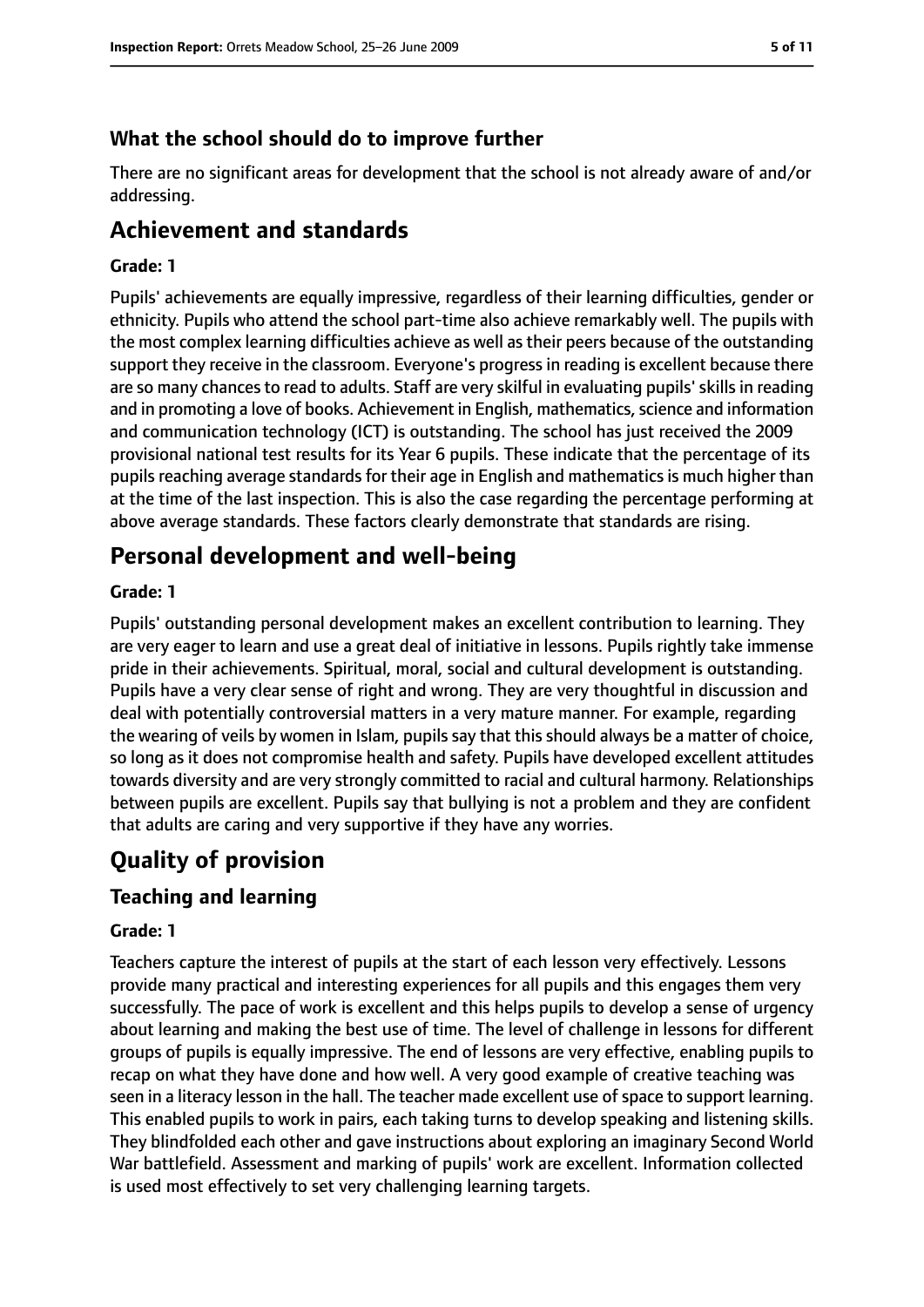# **What the school should do to improve further**

There are no significant areas for development that the school is not already aware of and/or addressing.

# **Achievement and standards**

#### **Grade: 1**

Pupils' achievements are equally impressive, regardless of their learning difficulties, gender or ethnicity. Pupils who attend the school part-time also achieve remarkably well. The pupils with the most complex learning difficulties achieve as well as their peers because of the outstanding support they receive in the classroom. Everyone's progressin reading is excellent because there are so many chances to read to adults. Staff are very skilful in evaluating pupils' skills in reading and in promoting a love of books. Achievement in English, mathematics, science and information and communication technology (ICT) is outstanding. The school has just received the 2009 provisional national test results for its Year 6 pupils. These indicate that the percentage of its pupils reaching average standards for their age in English and mathematics is much higher than at the time of the last inspection. This is also the case regarding the percentage performing at above average standards. These factors clearly demonstrate that standards are rising.

# **Personal development and well-being**

#### **Grade: 1**

Pupils' outstanding personal development makes an excellent contribution to learning. They are very eager to learn and use a great deal of initiative in lessons. Pupils rightly take immense pride in their achievements. Spiritual, moral, social and cultural development is outstanding. Pupils have a very clear sense of right and wrong. They are very thoughtful in discussion and deal with potentially controversial matters in a very mature manner. For example, regarding the wearing of veils by women in Islam, pupils say that this should always be a matter of choice, so long as it does not compromise health and safety. Pupils have developed excellent attitudes towards diversity and are very strongly committed to racial and cultural harmony. Relationships between pupils are excellent. Pupils say that bullying is not a problem and they are confident that adults are caring and very supportive if they have any worries.

# **Quality of provision**

# **Teaching and learning**

#### **Grade: 1**

Teachers capture the interest of pupils at the start of each lesson very effectively. Lessons provide many practical and interesting experiences for all pupils and this engages them very successfully. The pace of work is excellent and this helps pupils to develop a sense of urgency about learning and making the best use of time. The level of challenge in lessons for different groups of pupils is equally impressive. The end of lessons are very effective, enabling pupils to recap on what they have done and how well. A very good example of creative teaching was seen in a literacy lesson in the hall. The teacher made excellent use of space to support learning. This enabled pupils to work in pairs, each taking turns to develop speaking and listening skills. They blindfolded each other and gave instructions about exploring an imaginary Second World War battlefield. Assessment and marking of pupils' work are excellent. Information collected is used most effectively to set very challenging learning targets.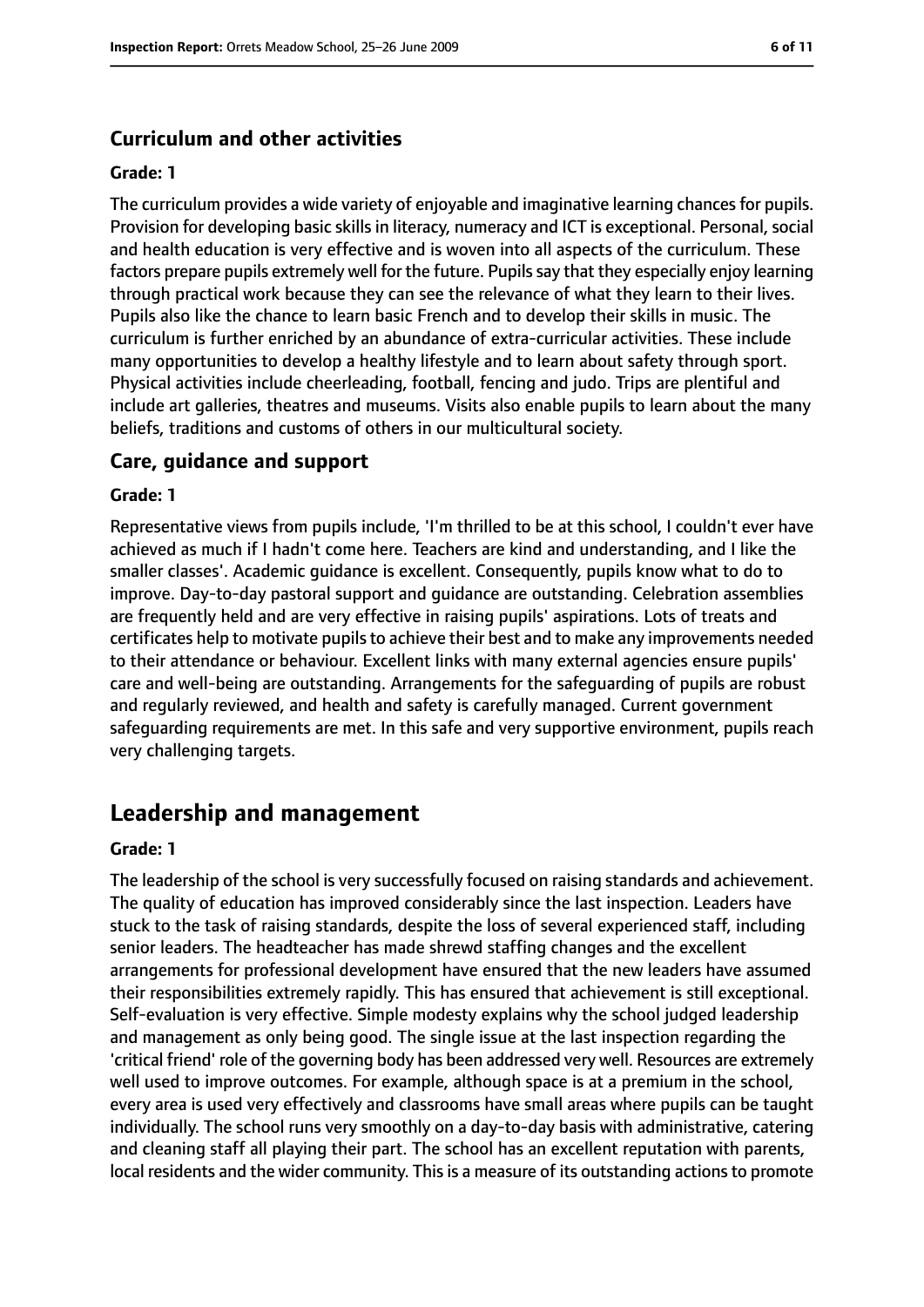# **Curriculum and other activities**

# **Grade: 1**

The curriculum provides a wide variety of enjoyable and imaginative learning chances for pupils. Provision for developing basic skills in literacy, numeracy and ICT is exceptional. Personal, social and health education is very effective and is woven into all aspects of the curriculum. These factors prepare pupils extremely well for the future. Pupilssay that they especially enjoy learning through practical work because they can see the relevance of what they learn to their lives. Pupils also like the chance to learn basic French and to develop their skills in music. The curriculum is further enriched by an abundance of extra-curricular activities. These include many opportunities to develop a healthy lifestyle and to learn about safety through sport. Physical activities include cheerleading, football, fencing and judo. Trips are plentiful and include art galleries, theatres and museums. Visits also enable pupils to learn about the many beliefs, traditions and customs of others in our multicultural society.

# **Care, guidance and support**

### **Grade: 1**

Representative views from pupils include, 'I'm thrilled to be at this school, I couldn't ever have achieved as much if I hadn't come here. Teachers are kind and understanding, and I like the smaller classes'. Academic guidance is excellent. Consequently, pupils know what to do to improve. Day-to-day pastoral support and guidance are outstanding. Celebration assemblies are frequently held and are very effective in raising pupils' aspirations. Lots of treats and certificates help to motivate pupils to achieve their best and to make any improvements needed to their attendance or behaviour. Excellent links with many external agencies ensure pupils' care and well-being are outstanding. Arrangements for the safeguarding of pupils are robust and regularly reviewed, and health and safety is carefully managed. Current government safeguarding requirements are met. In this safe and very supportive environment, pupils reach very challenging targets.

# **Leadership and management**

### **Grade: 1**

The leadership of the school is very successfully focused on raising standards and achievement. The quality of education has improved considerably since the last inspection. Leaders have stuck to the task of raising standards, despite the loss of several experienced staff, including senior leaders. The headteacher has made shrewd staffing changes and the excellent arrangements for professional development have ensured that the new leaders have assumed their responsibilities extremely rapidly. This has ensured that achievement is still exceptional. Self-evaluation is very effective. Simple modesty explains why the school judged leadership and management as only being good. The single issue at the last inspection regarding the 'critical friend' role of the governing body has been addressed very well. Resources are extremely well used to improve outcomes. For example, although space is at a premium in the school, every area is used very effectively and classrooms have small areas where pupils can be taught individually. The school runs very smoothly on a day-to-day basis with administrative, catering and cleaning staff all playing their part. The school has an excellent reputation with parents, local residents and the wider community. This is a measure of its outstanding actions to promote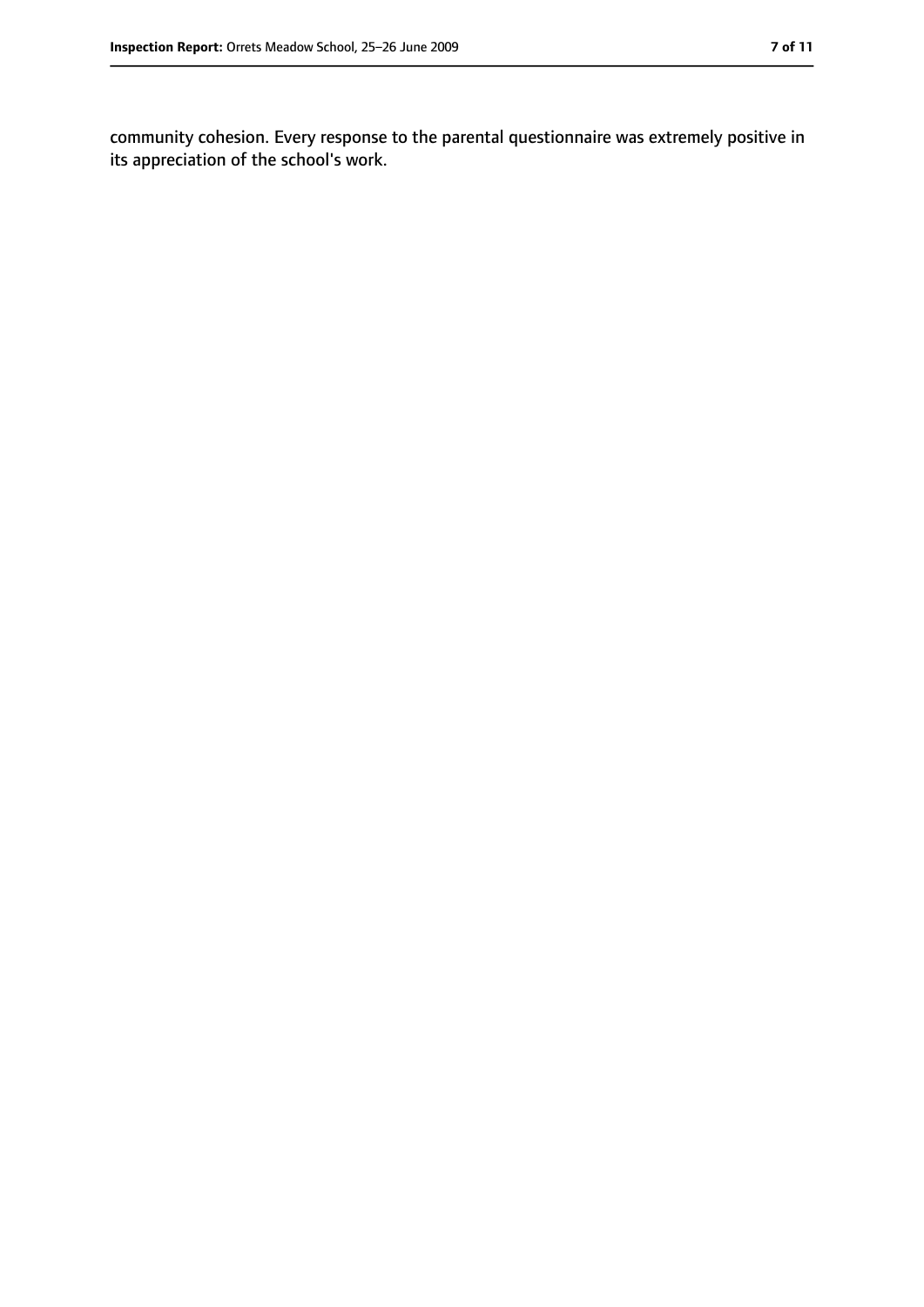community cohesion. Every response to the parental questionnaire was extremely positive in its appreciation of the school's work.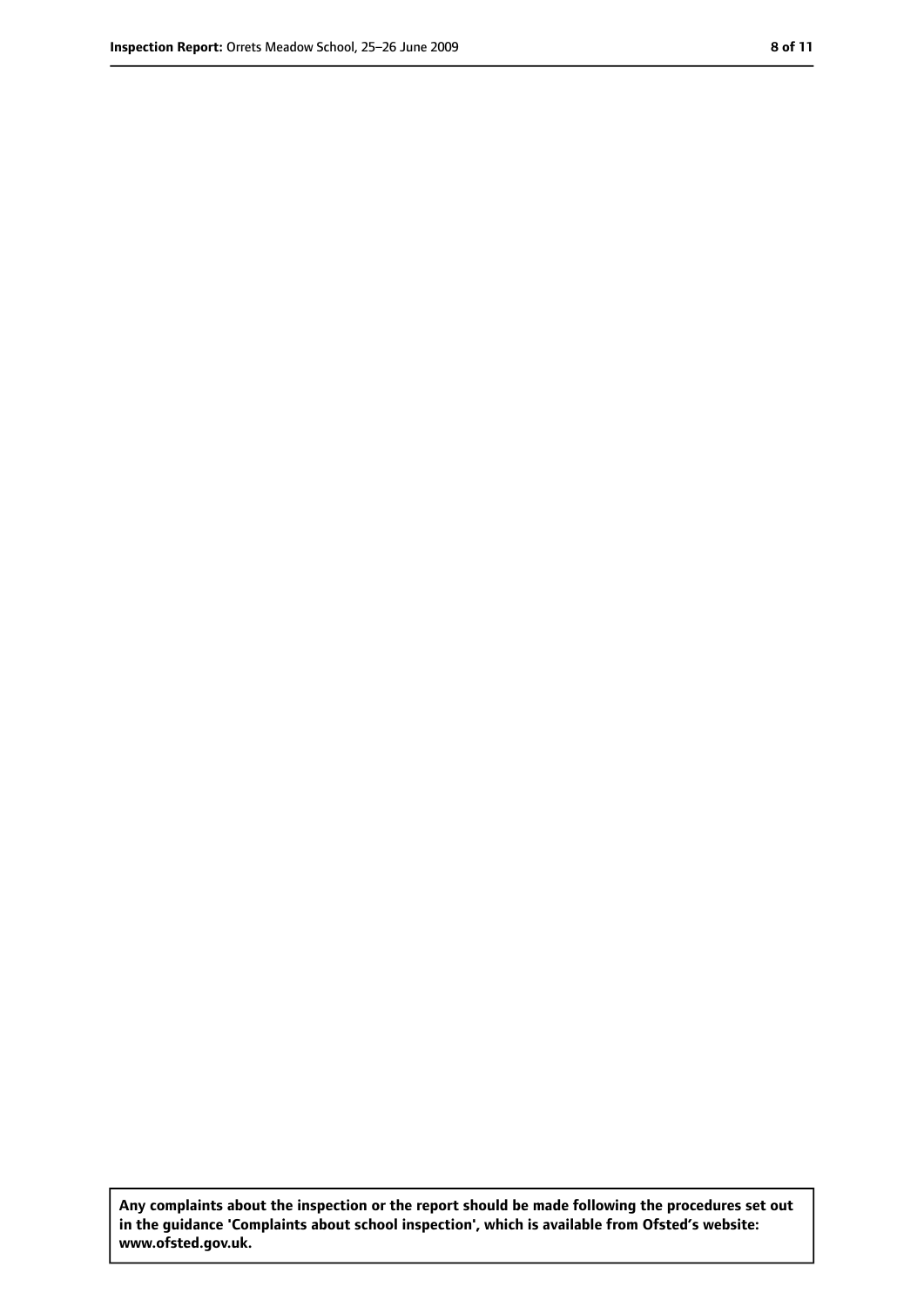**Any complaints about the inspection or the report should be made following the procedures set out in the guidance 'Complaints about school inspection', which is available from Ofsted's website: www.ofsted.gov.uk.**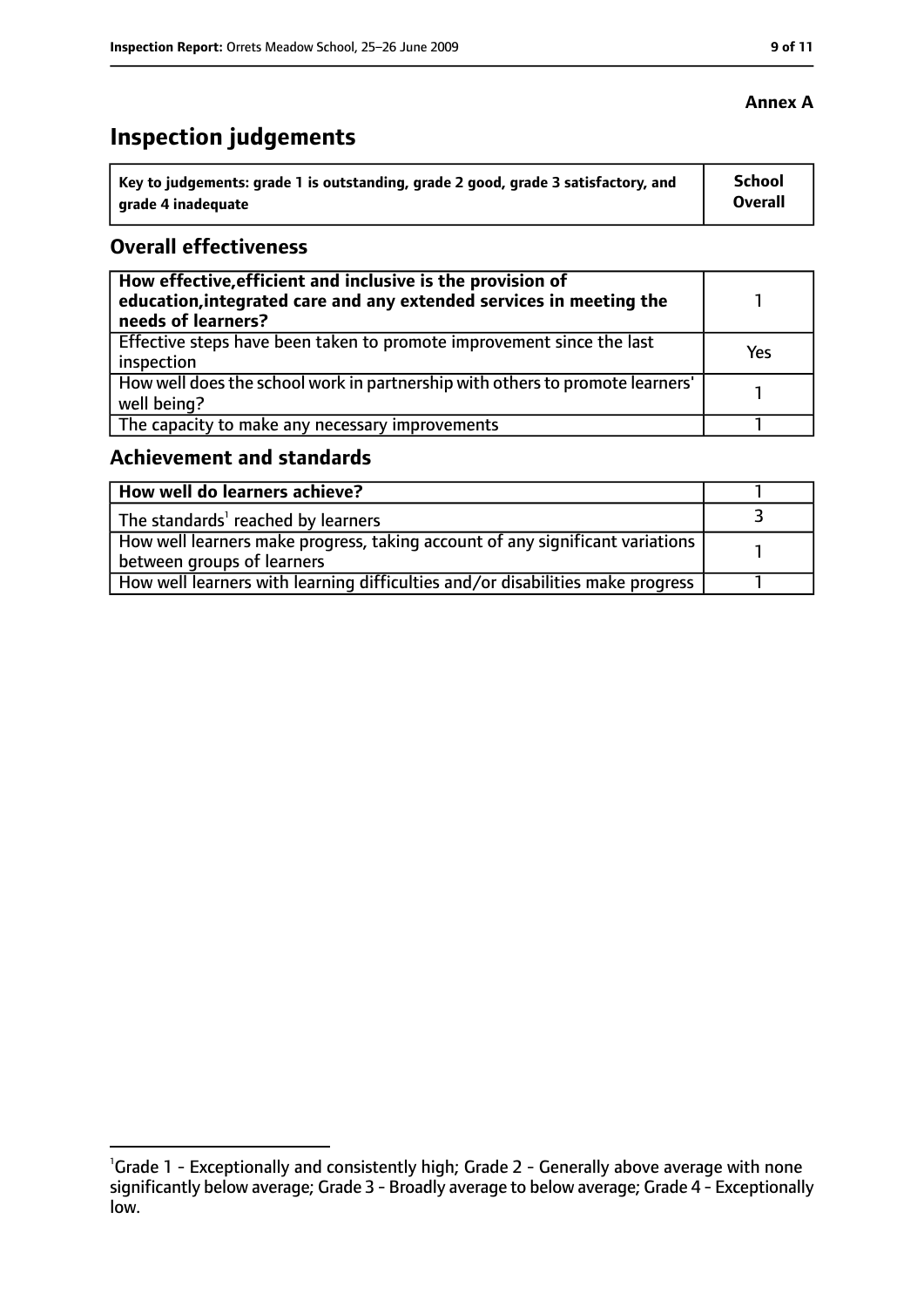# **Inspection judgements**

| ˈ Key to judgements: grade 1 is outstanding, grade 2 good, grade 3 satisfactory, and | <b>School</b>  |
|--------------------------------------------------------------------------------------|----------------|
| arade 4 inadequate                                                                   | <b>Overall</b> |

# **Overall effectiveness**

| How effective, efficient and inclusive is the provision of<br>education, integrated care and any extended services in meeting the<br>needs of learners? |     |
|---------------------------------------------------------------------------------------------------------------------------------------------------------|-----|
| Effective steps have been taken to promote improvement since the last<br>inspection                                                                     | Yes |
| How well does the school work in partnership with others to promote learners'<br>well being?                                                            |     |
| The capacity to make any necessary improvements                                                                                                         |     |

# **Achievement and standards**

| How well do learners achieve?                                                                               |  |
|-------------------------------------------------------------------------------------------------------------|--|
| The standards <sup>1</sup> reached by learners                                                              |  |
| How well learners make progress, taking account of any significant variations<br>between groups of learners |  |
| How well learners with learning difficulties and/or disabilities make progress                              |  |

# **Annex A**

<sup>&</sup>lt;sup>1</sup>Grade 1 - Exceptionally and consistently high; Grade 2 - Generally above average with none significantly below average; Grade 3 - Broadly average to below average; Grade 4 - Exceptionally low.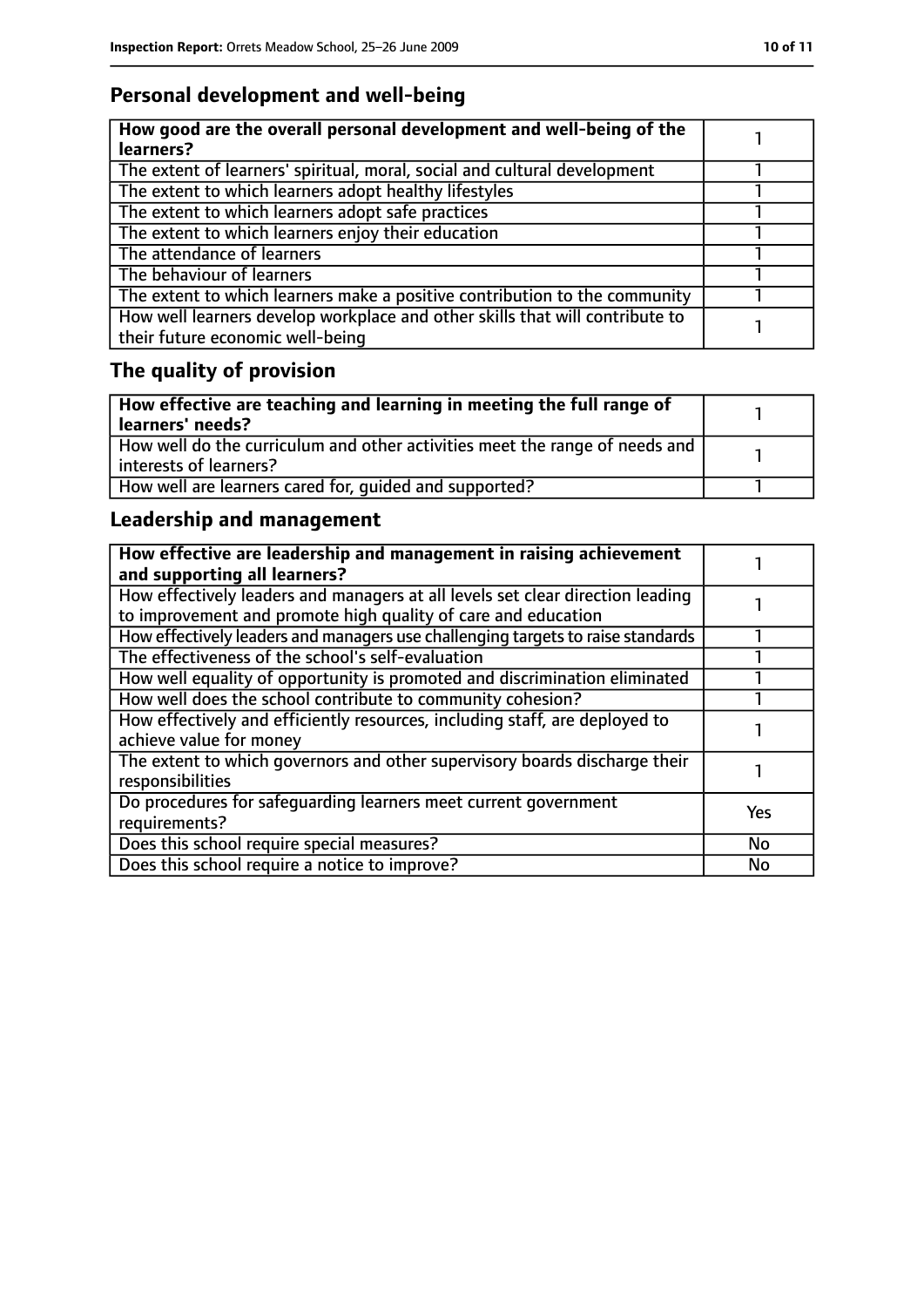# **Personal development and well-being**

| How good are the overall personal development and well-being of the<br>learners?                                 |  |
|------------------------------------------------------------------------------------------------------------------|--|
| The extent of learners' spiritual, moral, social and cultural development                                        |  |
| The extent to which learners adopt healthy lifestyles                                                            |  |
| The extent to which learners adopt safe practices                                                                |  |
| The extent to which learners enjoy their education                                                               |  |
| The attendance of learners                                                                                       |  |
| The behaviour of learners                                                                                        |  |
| The extent to which learners make a positive contribution to the community                                       |  |
| How well learners develop workplace and other skills that will contribute to<br>their future economic well-being |  |

# **The quality of provision**

| $\mid$ How effective are teaching and learning in meeting the full range of<br>  learners' needs?       |  |
|---------------------------------------------------------------------------------------------------------|--|
| How well do the curriculum and other activities meet the range of needs and<br>  interests of learners? |  |
| How well are learners cared for, quided and supported?                                                  |  |

# **Leadership and management**

| How effective are leadership and management in raising achievement<br>and supporting all learners?                                              |            |
|-------------------------------------------------------------------------------------------------------------------------------------------------|------------|
| How effectively leaders and managers at all levels set clear direction leading<br>to improvement and promote high quality of care and education |            |
| How effectively leaders and managers use challenging targets to raise standards                                                                 |            |
| The effectiveness of the school's self-evaluation                                                                                               |            |
| How well equality of opportunity is promoted and discrimination eliminated                                                                      |            |
| How well does the school contribute to community cohesion?                                                                                      |            |
| How effectively and efficiently resources, including staff, are deployed to<br>achieve value for money                                          |            |
| The extent to which governors and other supervisory boards discharge their<br>responsibilities                                                  |            |
| Do procedures for safequarding learners meet current government<br>requirements?                                                                | <b>Yes</b> |
| Does this school require special measures?                                                                                                      | <b>No</b>  |
| Does this school require a notice to improve?                                                                                                   | No         |